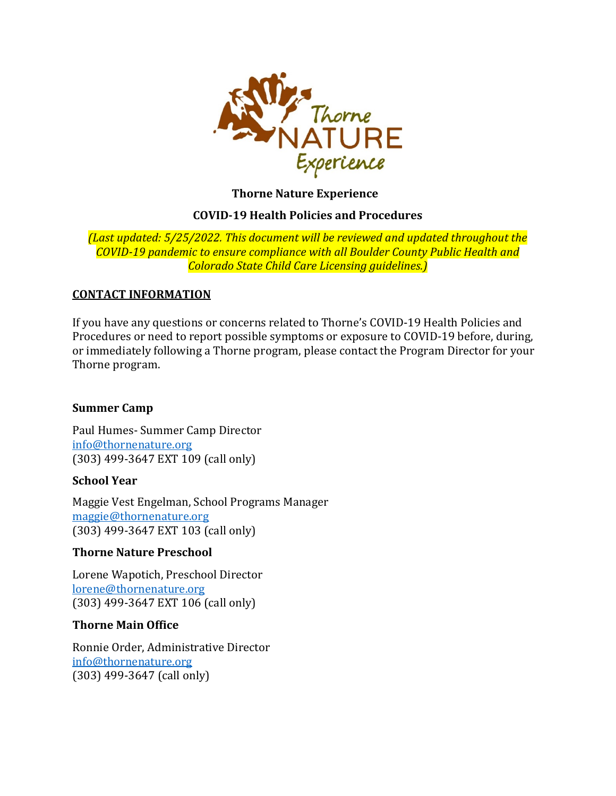

**Thorne Nature Experience** 

### **COVID-19 Health Policies and Procedures**

*(Last updated: 5/25/2022. This document will be reviewed and updated throughout the COVID-19 pandemic to ensure compliance with all Boulder County Public Health and Colorado State Child Care Licensing guidelines.)*

### **CONTACT INFORMATION**

If you have any questions or concerns related to Thorne's COVID-19 Health Policies and Procedures or need to report possible symptoms or exposure to COVID-19 before, during, or immediately following a Thorne program, please contact the Program Director for your Thorne program.

### **Summer Camp**

Paul Humes- Summer [Cam](mailto:info@thornenature.org)p Director [info@thornenature.org](mailto:info@thornenature.org) (303) 499-3647 EXT 109 (call only)

### **School Year**

Maggie Vest Engelman, School Programs Manager maggie@thornenature.org (303) 499-3647 EXT 103 (call only)

### **Thorne Nature Preschool**

Lorene Wapotich, Preschool Director [lorene@thornenature.org](mailto:lorene@thornenature.org) (303) 499-3647 EXT 106 (call only)

### **Thorne Main Office**

Ronnie Order, Administrative Director [info@thornenature.org](mailto:info@thornenature.org) (303) 499-3647 (call only)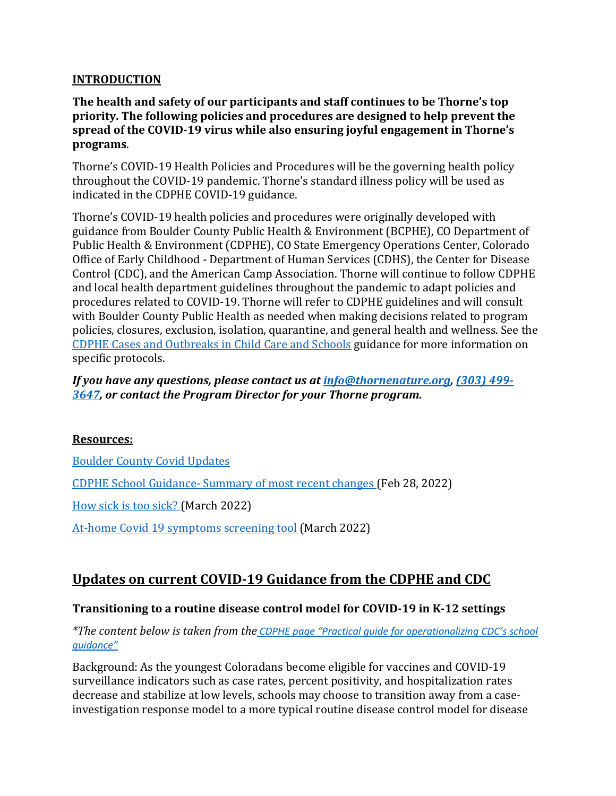### **INTRODUCTION**

### **The health and safety of our participants and staff continues to be Thorne's top priority. The following policies and procedures are designed to help prevent the spread of the COVID-19 virus while also ensuring joyful engagement in Thorne's programs**.

Thorne's COVID-19 Health Policies and Procedures will be the governing health policy throughout the COVID-19 pandemic. Thorne's standard illness policy will be used as indicated in the CDPHE COVID-19 guidance.

Thorne's COVID-19 health policies and procedures were originally developed with guidance from Boulder County Public Health & Environment (BCPHE), CO Department of Public Health & Environment (CDPHE), CO State Emergency Operations Center, Colorado Office of Early Childhood - Department of Human Services (CDHS), the Center for Disease Control (CDC), and the American Camp Association. Thorne will continue to follow CDPHE and local health department guidelines throughout the pandemic to adapt policies and procedures related to COVID-19. Thorne will refer to CDPHE guidelines and will consult with Boulder County Public Health as needed when making decisions related to program policies, closures, exclusion, isolation, quarantine, and general health and wellness. See the [CDPHE Cases and Outbreaks in Child Care and Schools](https://www.cde.state.co.us/safeschools) guidance for more information on specific protocols.

### *If you have any questions, please contact us at [info@thornenature.org,](mailto:info@thornenature.org) [\(303\) 499-](https://www.google.com/search?rlz=1C1GCEA_enUS834US834&sxsrf=ALeKk03rxFJOQkedI9cAZwwNonjtYSNrug%3A1587157919032&ei=nxuaXtuyAYurtQaDw4CgDA&q=thorne+nature+experience&oq=thoren+nature+exp&gs_lcp=CgZwc3ktYWIQARgAMgcIIxCwAhAnMgcIIxCwAhAnMgcIIxCwAhAnMgYIABANEB46BAgjECc6BAgAEA1QoBNYoBNg6BxoAHAAeACAAXKIAaQCkgEDMi4xmAEAoAEBqgEHZ3dzLXdpeg&sclient=psy-ab) [3647,](https://www.google.com/search?rlz=1C1GCEA_enUS834US834&sxsrf=ALeKk03rxFJOQkedI9cAZwwNonjtYSNrug%3A1587157919032&ei=nxuaXtuyAYurtQaDw4CgDA&q=thorne+nature+experience&oq=thoren+nature+exp&gs_lcp=CgZwc3ktYWIQARgAMgcIIxCwAhAnMgcIIxCwAhAnMgcIIxCwAhAnMgYIABANEB46BAgjECc6BAgAEA1QoBNYoBNg6BxoAHAAeACAAXKIAaQCkgEDMi4xmAEAoAEBqgEHZ3dzLXdpeg&sclient=psy-ab) or contact the Program Director for your Thorne program.*

### **Resources:**

[Boulder County Covid Updates](https://www.bouldercounty.org/families/disease/covid-19/)

CDPHE School Guidance- [Summary of most recent changes](https://covid19.colorado.gov/practical-guide-for-operationalizing-cdc-school-guidance#Summary) (Feb 28, 2022)

[How sick is too sick?](https://drive.google.com/file/d/1RcdCmU4SYXwmVhJrA3Pyk0gP0MTDClkF/view) (March 2022)

[At-home Covid 19 symptoms screening tool](https://drive.google.com/file/d/1rM77eLlnivcOuoqv0zy0pXXtjnY-fREN/view) (March 2022)

# **Updates on current COVID-19 Guidance from the CDPHE and CDC**

### **Transitioning to a routine disease control model for COVID-19 in K-12 settings**

*\*The content below is taken from the [CDPHE page "Practical guide for operationalizing CDC's school](https://covid19.colorado.gov/practical-guide-for-operationalizing-cdc-school-guidance#transitioning)  [guidance"](https://covid19.colorado.gov/practical-guide-for-operationalizing-cdc-school-guidance#transitioning)*

Background: As the youngest Coloradans become eligible for vaccines and COVID-19 surveillance indicators such as case rates, percent positivity, and hospitalization rates decrease and stabilize at low levels, schools may choose to transition away from a caseinvestigation response model to a more typical routine disease control model for disease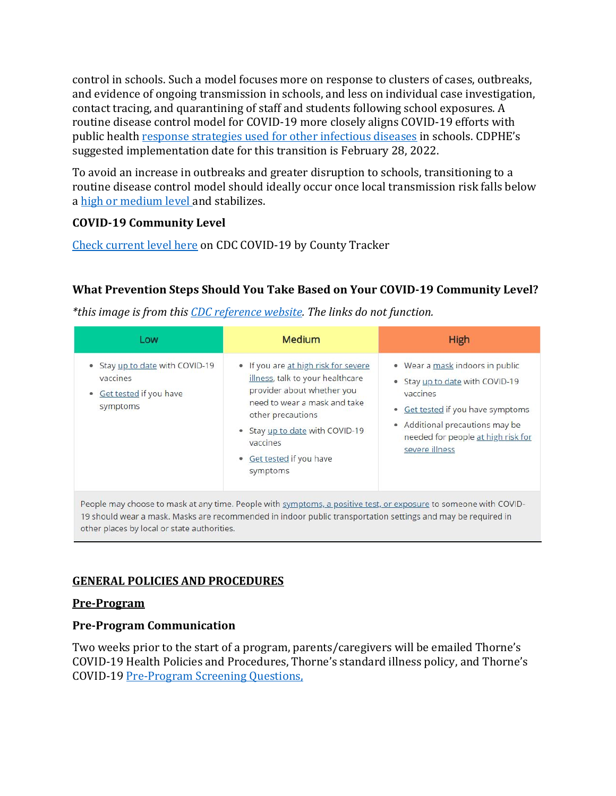control in schools. Such a model focuses more on response to clusters of cases, outbreaks, and evidence of ongoing transmission in schools, and less on individual case investigation, contact tracing, and quarantining of staff and students following school exposures. A routine disease control model for COVID-19 more closely aligns COVID-19 efforts with public health [response strategies used for other infectious diseases](https://cdphe.colorado.gov/communicable-diseases/infectious-disease-guidelines-schools-childcare) in schools. CDPHE's suggested implementation date for this transition is February 28, 2022.

To avoid an increase in outbreaks and greater disruption to schools, transitioning to a routine disease control model should ideally occur once local transmission risk falls below a [high or medium level a](https://www.cdc.gov/coronavirus/2019-ncov/science/community-levels.html)nd stabilizes.

## **COVID-19 Community Level**

[Check current level here](https://www.cdc.gov/coronavirus/2019-ncov/your-health/covid-by-county.html) on CDC COVID-19 by County Tracker

## **What Prevention Steps Should You Take Based on Your COVID-19 Community Level?**

*\*this image is from thi[s CDC reference website.](https://www.cdc.gov/coronavirus/2019-ncov/your-health/covid-by-county.html) The links do not function.*

| Low                                                                             | <b>Medium</b>                                                                                                                                                                                                                                      | <b>High</b>                                                                                                                                                                                                             |
|---------------------------------------------------------------------------------|----------------------------------------------------------------------------------------------------------------------------------------------------------------------------------------------------------------------------------------------------|-------------------------------------------------------------------------------------------------------------------------------------------------------------------------------------------------------------------------|
| Stay up to date with COVID-19<br>vaccines<br>Get tested if you have<br>symptoms | • If you are at high risk for severe<br>illness, talk to your healthcare<br>provider about whether you<br>need to wear a mask and take<br>other precautions<br>• Stay up to date with COVID-19<br>vaccines<br>• Get tested if you have<br>symptoms | • Wear a mask indoors in public<br>Stay up to date with COVID-19<br>۰<br>vaccines<br>Get tested if you have symptoms<br>۰<br>Additional precautions may be<br>۰<br>needed for people at high risk for<br>severe illness |

19 should wear a mask. Masks are recommended in indoor public transportation settings and may be required in other places by local or state authorities.

### **GENERAL POLICIES AND PROCEDURES**

### **Pre-Program**

### **Pre-Program Communication**

Two weeks prior to the start of a program, parents/caregivers will be emailed Thorne's COVID-19 Health Policies and Procedures, Thorne's standard illness policy, and Thorne's COVID-19 [Pre-Program Screening Questions,](https://drive.google.com/file/d/1rM77eLlnivcOuoqv0zy0pXXtjnY-fREN/view)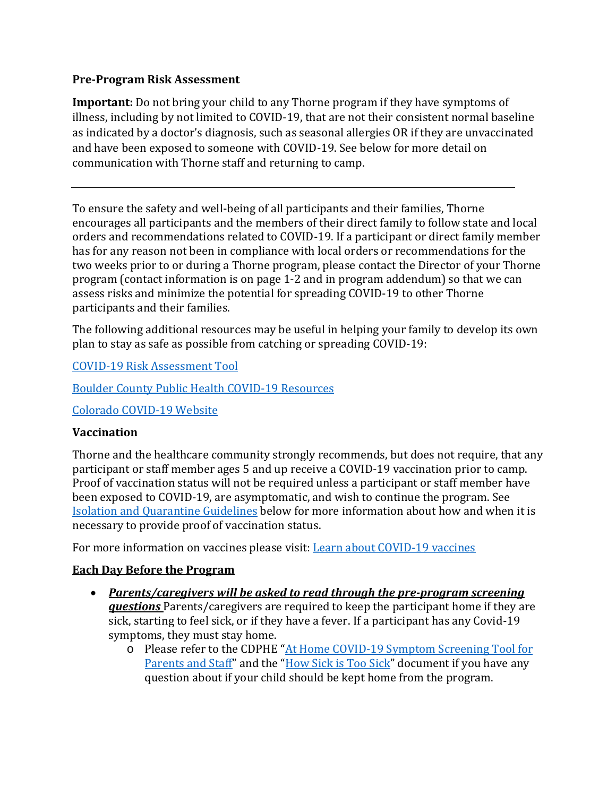### **Pre-Program Risk Assessment**

**Important:** Do not bring your child to any Thorne program if they have symptoms of illness, including by not limited to COVID-19, that are not their consistent normal baseline as indicated by a doctor's diagnosis, such as seasonal allergies OR if they are unvaccinated and have been exposed to someone with COVID-19. See below for more detail on communication with Thorne staff and returning to camp.

To ensure the safety and well-being of all participants and their families, Thorne encourages all participants and the members of their direct family to follow state and local orders and recommendations related to COVID-19. If a participant or direct family member has for any reason not been in compliance with local orders or recommendations for the two weeks prior to or during a Thorne program, please contact the Director of your Thorne program (contact information is on page 1-2 and in program addendum) so that we can assess risks and minimize the potential for spreading COVID-19 to other Thorne participants and their families.

The following additional resources may be useful in helping your family to develop its own plan to stay as safe as possible from catching or spreading COVID-19:

[COVID-19 Risk Assessment Tool](https://assets.bouldercounty.org/wp-content/uploads/2022/04/Risk-Assesement-1.pdf)

[Boulder County Public Health COVID-19 Resources](https://www.bouldercounty.org/families/disease/covid-19/)

[Colorado COVID-19 Website](https://covid19.colorado.gov/)

### **Vaccination**

Thorne and the healthcare community strongly recommends, but does not require, that any participant or staff member ages 5 and up receive a COVID-19 vaccination prior to camp. Proof of vaccination status will not be required unless a participant or staff member have been exposed to COVID-19, are asymptomatic, and wish to continue the program. See [Isolation and Quarantine Guidelines](#page-5-0) below for more information about how and when it is necessary to provide proof of vaccination status.

For more information on vaccines please visit: [Learn about COVID-19 vaccines](https://covid19.colorado.gov/Learn-about-COVID-19-vaccines#:%7E:text=All%20Coloradans%20age%205%20and,receive%20a%20COVID%2D19%20vaccine.)

### **Each Day Before the Program**

- *Parents/caregivers will be asked to read through the pre-program screening questions* Parents/caregivers are required to keep the participant home if they are sick, starting to feel sick, or if they have a fever. If a participant has any Covid-19 symptoms, they must stay home.
	- o Please refer to the CDPHE ["At Home COVID-19 Symptom Screening Tool for](https://drive.google.com/file/d/1rM77eLlnivcOuoqv0zy0pXXtjnY-fREN/view)  [Parents and Staff"](https://drive.google.com/file/d/1rM77eLlnivcOuoqv0zy0pXXtjnY-fREN/view) and the ["How Sick is Too Sick"](https://drive.google.com/file/d/1RcdCmU4SYXwmVhJrA3Pyk0gP0MTDClkF/view) document if you have any question about if your child should be kept home from the program.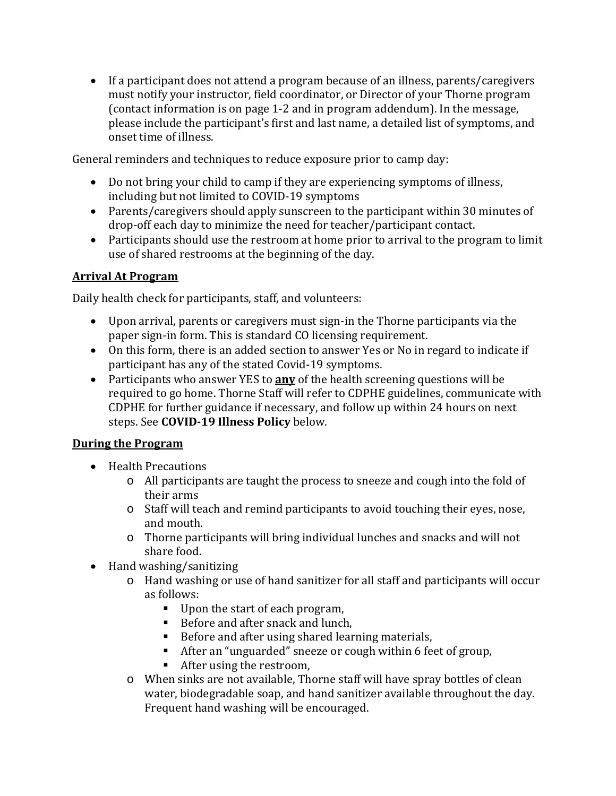• If a participant does not attend a program because of an illness, parents/caregivers must notify your instructor, field coordinator, or Director of your Thorne program (contact information is on page 1-2 and in program addendum). In the message, please include the participant's first and last name, a detailed list of symptoms, and onset time of illness.

General reminders and techniques to reduce exposure prior to camp day:

- Do not bring your child to camp if they are experiencing symptoms of illness, including but not limited to COVID-19 symptoms
- Parents/caregivers should apply sunscreen to the participant within 30 minutes of drop-off each day to minimize the need for teacher/participant contact.
- Participants should use the restroom at home prior to arrival to the program to limit use of shared restrooms at the beginning of the day.

## **Arrival At Program**

Daily health check for participants, staff, and volunteers:

- Upon arrival, parents or caregivers must sign-in the Thorne participants via the paper sign-in form. This is standard CO licensing requirement.
- On this form, there is an added section to answer Yes or No in regard to indicate if participant has any of the stated Covid-19 symptoms.
- Participants who answer YES to **any** of the health screening questions will be required to go home. Thorne Staff will refer to CDPHE guidelines, communicate with CDPHE for further guidance if necessary, and follow up within 24 hours on next steps. See **COVID-19 Illness Policy** below.

### **During the Program**

- Health Precautions
	- o All participants are taught the process to sneeze and cough into the fold of their arms
	- o Staff will teach and remind participants to avoid touching their eyes, nose, and mouth.
	- o Thorne participants will bring individual lunches and snacks and will not share food.
- Hand washing/sanitizing
	- o Hand washing or use of hand sanitizer for all staff and participants will occur as follows:
		- Upon the start of each program,
		- Before and after snack and lunch,
		- Before and after using shared learning materials,
		- After an "unguarded" sneeze or cough within 6 feet of group,
		- After using the restroom.
	- o When sinks are not available, Thorne staff will have spray bottles of clean water, biodegradable soap, and hand sanitizer available throughout the day. Frequent hand washing will be encouraged.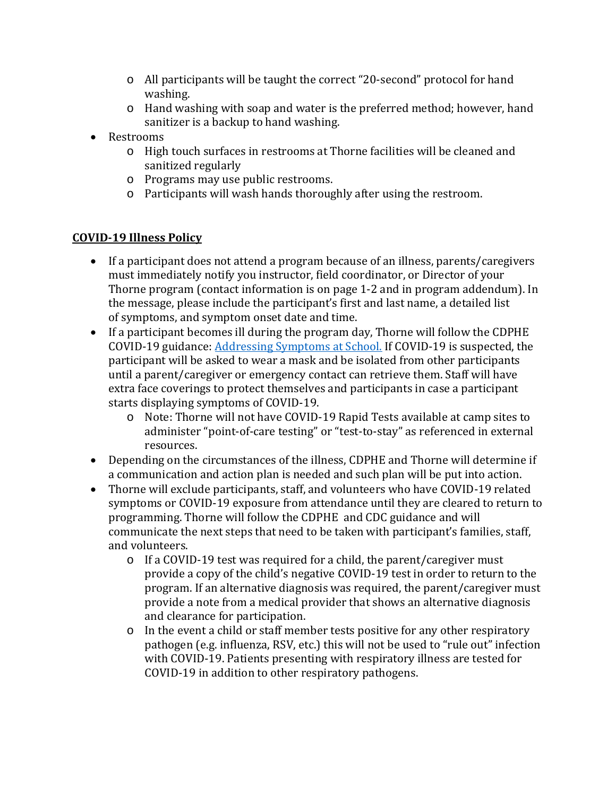- o All participants will be taught the correct "20-second" protocol for hand washing.
- o Hand washing with soap and water is the preferred method; however, hand sanitizer is a backup to hand washing.
- Restrooms
	- o High touch surfaces in restrooms at Thorne facilities will be cleaned and sanitized regularly
	- o Programs may use public restrooms.
	- o Participants will wash hands thoroughly after using the restroom.

## **COVID-19 Illness Policy**

- If a participant does not attend a program because of an illness, parents/caregivers must immediately notify you instructor, field coordinator, or Director of your Thorne program (contact information is on page 1-2 and in program addendum). In the message, please include the participant's first and last name, a detailed list of symptoms, and symptom onset date and time.
- If a participant becomes ill during the program day, Thorne will follow the CDPHE COVID-19 guidance: Addressing [Symptoms at School.](https://drive.google.com/file/d/1-qAUd4g8tYDZ4KKIlbCc_yG0wkEHjiXV/view) If COVID-19 is suspected, the participant will be asked to wear a mask and be isolated from other participants until a parent/caregiver or emergency contact can retrieve them. Staff will have extra face coverings to protect themselves and participants in case a participant starts displaying symptoms of COVID-19.
	- o Note: Thorne will not have COVID-19 Rapid Tests available at camp sites to administer "point-of-care testing" or "test-to-stay" as referenced in external resources.
- Depending on the circumstances of the illness, CDPHE and Thorne will determine if a communication and action plan is needed and such plan will be put into action.
- <span id="page-5-0"></span>• Thorne will exclude participants, staff, and volunteers who have COVID-19 related symptoms or COVID-19 exposure from attendance until they are cleared to return to programming. Thorne will follow the CDPHE and CDC guidance and will communicate the next steps that need to be taken with participant's families, staff, and volunteers.
	- o If a COVID-19 test was required for a child, the parent/caregiver must provide a copy of the child's negative COVID-19 test in order to return to the program. If an alternative diagnosis was required, the parent/caregiver must provide a note from a medical provider that shows an alternative diagnosis and clearance for participation.
	- o In the event a child or staff member tests positive for any other respiratory pathogen (e.g. influenza, RSV, etc.) this will not be used to "rule out" infection with COVID-19. Patients presenting with respiratory illness are tested for COVID-19 in addition to other respiratory pathogens.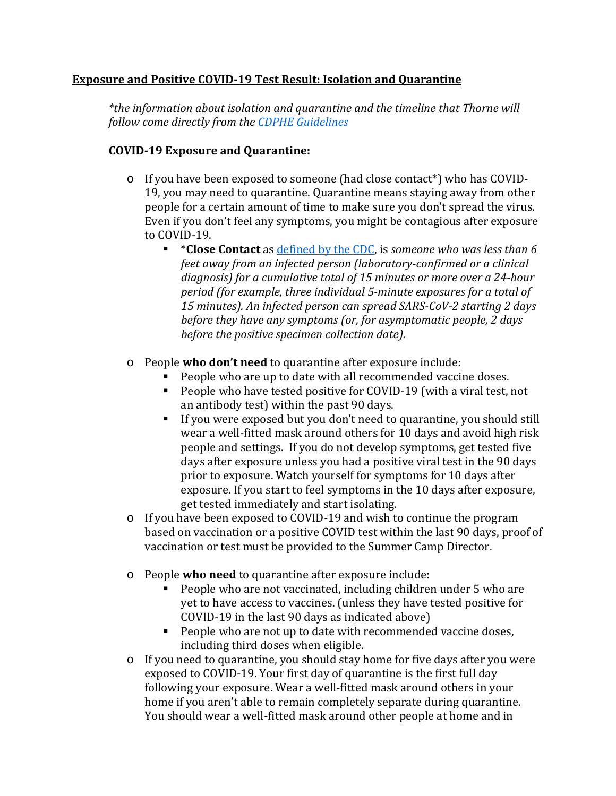### **Exposure and Positive COVID-19 Test Result: Isolation and Quarantine**

*\*the information about isolation and quarantine and the timeline that Thorne will follow come directly from the [CDPHE Guidelines](https://covid19.colorado.gov/isolation-and-quarantine)*

### **COVID-19 Exposure and Quarantine:**

- o If you have been exposed to someone (had close contact\*) who has COVID-19, you may need to quarantine. Quarantine means staying away from other people for a certain amount of time to make sure you don't spread the virus. Even if you don't feel any symptoms, you might be contagious after exposure to COVID-19.
	- \***Close Contact** as [defined by the CDC,](https://www.cdc.gov/coronavirus/2019-ncov/php/contact-tracing/contact-tracing-plan/appendix.html#contact) is *someone who was less than 6 feet away from an infected person (laboratory-confirmed or a clinical diagnosis) for a cumulative total of 15 minutes or more over a 24-hour period (for example, three individual 5-minute exposures for a total of 15 minutes). An infected person can spread SARS-CoV-2 starting 2 days before they have any symptoms (or, for asymptomatic people, 2 days before the positive specimen collection date).*
- o People **who don't need** to quarantine after exposure include:
	- People who are up to date with all recommended vaccine doses.
	- People who have tested positive for COVID-19 (with a viral test, not an antibody test) within the past 90 days.
	- If you were exposed but you don't need to quarantine, you should still wear a well-fitted mask around others for 10 days and avoid high risk people and settings. If you do not develop symptoms, get tested five days after exposure unless you had a positive viral test in the 90 days prior to exposure. Watch yourself for symptoms for 10 days after exposure. If you start to feel symptoms in the 10 days after exposure, get tested immediately and start isolating.
- o If you have been exposed to COVID-19 and wish to continue the program based on vaccination or a positive COVID test within the last 90 days, proof of vaccination or test must be provided to the Summer Camp Director.
- o People **who need** to quarantine after exposure include:
	- People who are not vaccinated, including children under 5 who are yet to have access to vaccines. (unless they have tested positive for COVID-19 in the last 90 days as indicated above)
	- **People who are not up to date with recommended vaccine doses,** including third doses when eligible.
- o If you need to quarantine, you should stay home for five days after you were exposed to COVID-19. Your first day of quarantine is the first full day following your exposure. Wear a well-fitted mask around others in your home if you aren't able to remain completely separate during quarantine. You should wear a well-fitted mask around other people at home and in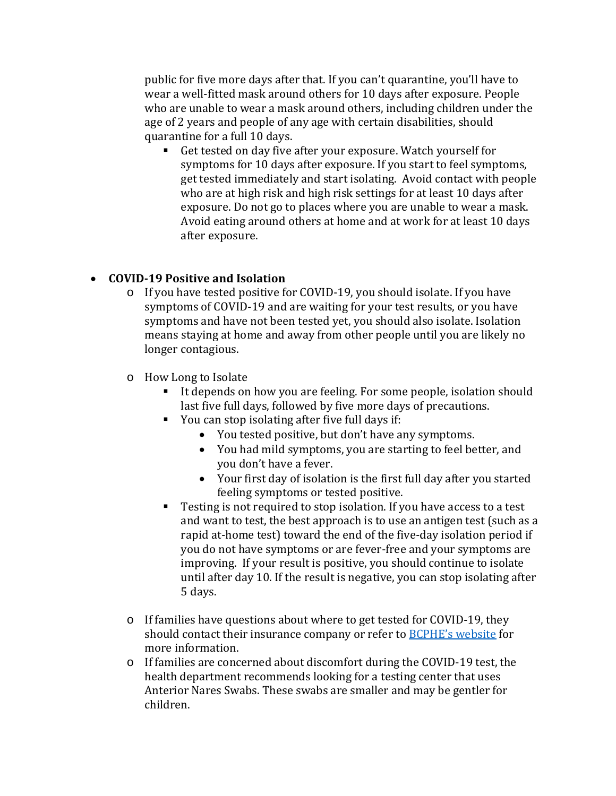public for five more days after that. If you can't quarantine, you'll have to wear a well-fitted mask around others for 10 days after exposure. People who are unable to wear a mask around others, including children under the age of 2 years and people of any age with certain disabilities, should quarantine for a full 10 days.

 Get tested on day five after your exposure. Watch yourself for symptoms for 10 days after exposure. If you start to feel symptoms, get tested immediately and start isolating. Avoid contact with people who are at high risk and high risk settings for at least 10 days after exposure. Do not go to places where you are unable to wear a mask. Avoid eating around others at home and at work for at least 10 days after exposure.

### • **COVID-19 Positive and Isolation**

- o If you have tested positive for COVID-19, you should isolate. If you have symptoms of COVID-19 and are waiting for your test results, or you have symptoms and have not been tested yet, you should also isolate. Isolation means staying at home and away from other people until you are likely no longer contagious.
- o How Long to Isolate
	- If depends on how you are feeling. For some people, isolation should last five full days, followed by five more days of precautions.
	- You can stop isolating after five full days if:
		- You tested positive, but don't have any symptoms.
		- You had mild symptoms, you are starting to feel better, and you don't have a fever.
		- Your first day of isolation is the first full day after you started feeling symptoms or tested positive.
	- Testing is not required to stop isolation. If you have access to a test and want to test, the best approach is to use an antigen test (such as a rapid at-home test) toward the end of the five-day isolation period if you do not have symptoms or are fever-free and your symptoms are improving. If your result is positive, you should continue to isolate until after day 10. If the result is negative, you can stop isolating after 5 days.
- o If families have questions about where to get tested for COVID-19, they should contact their insurance company or refer to **BCPHE's website** for more information.
- o If families are concerned about discomfort during the COVID-19 test, the health department recommends looking for a testing center that uses Anterior Nares Swabs. These swabs are smaller and may be gentler for children.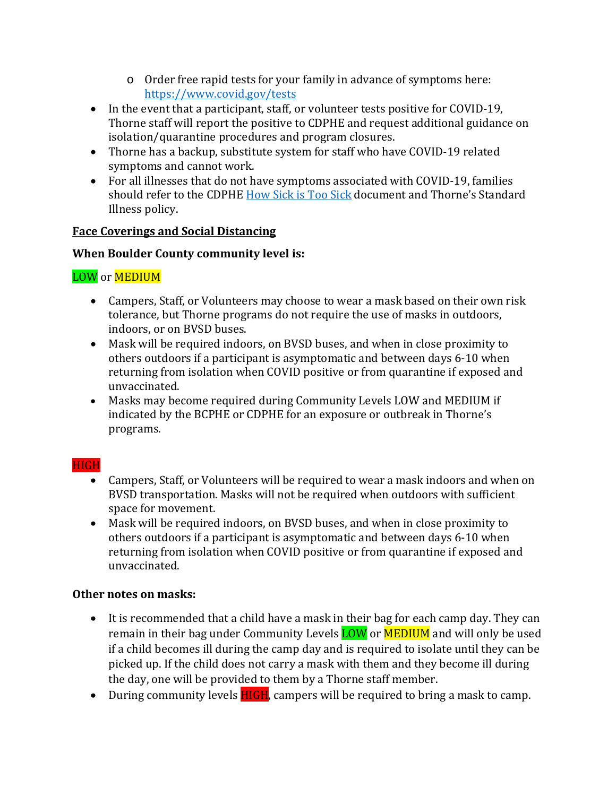- o Order free rapid tests for your family in advance of symptoms here: <https://www.covid.gov/tests>
- In the event that a participant, staff, or volunteer tests positive for COVID-19, Thorne staff will report the positive to CDPHE and request additional guidance on isolation/quarantine procedures and program closures.
- Thorne has a backup, substitute system for staff who have COVID-19 related symptoms and cannot work.
- For all illnesses that do not have symptoms associated with COVID-19, families should refer to the CDPHE [How Sick is Too Sick](https://drive.google.com/file/d/1RcdCmU4SYXwmVhJrA3Pyk0gP0MTDClkF/view) document and Thorne's Standard Illness policy.

### **Face Coverings and Social Distancing**

### **When Boulder County community level is:**

## LOW or MEDIUM

- Campers, Staff, or Volunteers may choose to wear a mask based on their own risk tolerance, but Thorne programs do not require the use of masks in outdoors, indoors, or on BVSD buses.
- Mask will be required indoors, on BVSD buses, and when in close proximity to others outdoors if a participant is asymptomatic and between days 6-10 when returning from isolation when COVID positive or from quarantine if exposed and unvaccinated.
- Masks may become required during Community Levels LOW and MEDIUM if indicated by the BCPHE or CDPHE for an exposure or outbreak in Thorne's programs.

### HIGH

- Campers, Staff, or Volunteers will be required to wear a mask indoors and when on BVSD transportation. Masks will not be required when outdoors with sufficient space for movement.
- Mask will be required indoors, on BVSD buses, and when in close proximity to others outdoors if a participant is asymptomatic and between days 6-10 when returning from isolation when COVID positive or from quarantine if exposed and unvaccinated.

### **Other notes on masks:**

- It is recommended that a child have a mask in their bag for each camp day. They can remain in their bag under Community Levels **LOW** or **MEDIUM** and will only be used if a child becomes ill during the camp day and is required to isolate until they can be picked up. If the child does not carry a mask with them and they become ill during the day, one will be provided to them by a Thorne staff member.
- During community levels **HIGH**, campers will be required to bring a mask to camp.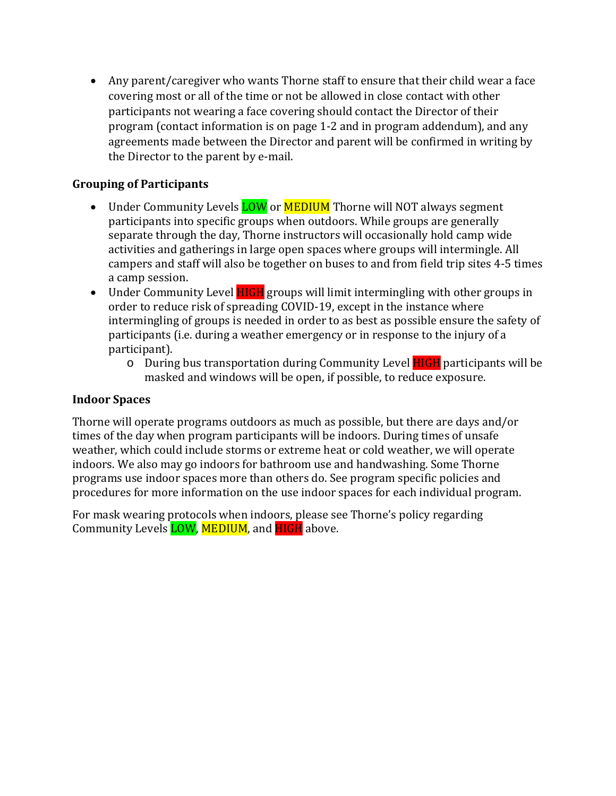• Any parent/caregiver who wants Thorne staff to ensure that their child wear a face covering most or all of the time or not be allowed in close contact with other participants not wearing a face covering should contact the Director of their program (contact information is on page 1-2 and in program addendum), and any agreements made between the Director and parent will be confirmed in writing by the Director to the parent by e-mail.

### **Grouping of Participants**

- Under Community Levels **LOW** or **MEDIUM** Thorne will NOT always segment participants into specific groups when outdoors. While groups are generally separate through the day, Thorne instructors will occasionally hold camp wide activities and gatherings in large open spaces where groups will intermingle. All campers and staff will also be together on buses to and from field trip sites 4-5 times a camp session.
- Under Community Level **HIGH** groups will limit intermingling with other groups in order to reduce risk of spreading COVID-19, except in the instance where intermingling of groups is needed in order to as best as possible ensure the safety of participants (i.e. during a weather emergency or in response to the injury of a participant).
	- o During bus transportation during Community Level HIGH participants will be masked and windows will be open, if possible, to reduce exposure.

### **Indoor Spaces**

Thorne will operate programs outdoors as much as possible, but there are days and/or times of the day when program participants will be indoors. During times of unsafe weather, which could include storms or extreme heat or cold weather, we will operate indoors. We also may go indoors for bathroom use and handwashing. Some Thorne programs use indoor spaces more than others do. See program specific policies and procedures for more information on the use indoor spaces for each individual program.

For mask wearing protocols when indoors, please see Thorne's policy regarding Community Levels **LOW**, MEDIUM, and **HIGH** above.